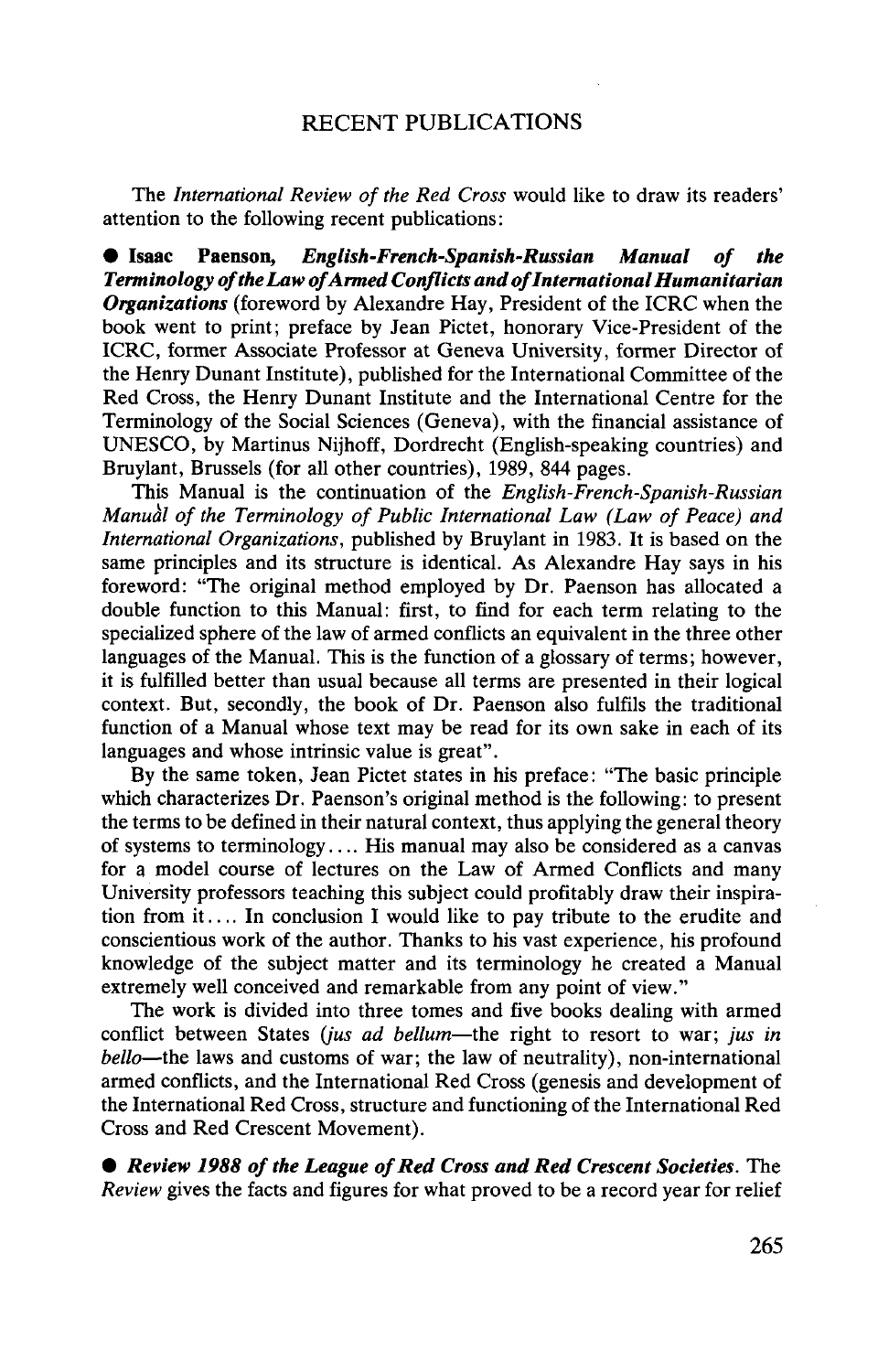## RECENT PUBLICATIONS

The *International Review of the Red Cross* would like to draw its readers' attention to the following recent publications:

**• Isaac Paenson,** *English-French-Spanish-Russian Manual of the Terminology of the Law of Armed Conflicts and of International Humanitarian Organizations* (foreword by Alexandre Hay, President of the ICRC when the book went to print; preface by Jean Pictet, honorary Vice-President of the ICRC, former Associate Professor at Geneva University, former Director of the Henry Dunant Institute), published for the International Committee of the Red Cross, the Henry Dunant Institute and the International Centre for the Terminology of the Social Sciences (Geneva), with the financial assistance of UNESCO, by Martinus Nijhoff, Dordrecht (English-speaking countries) and Bruylant, Brussels (for all other countries), 1989, 844 pages.

This Manual is the continuation of the *English-French-Spanish-Russian Manual of the Terminology of Public International Law (Law of Peace) and International Organizations,* published by Bruylant in 1983. It is based on the same principles and its structure is identical. As Alexandre Hay says in his foreword: "The original method employed by Dr. Paenson has allocated a double function to this Manual: first, to find for each term relating to the specialized sphere of the law of armed conflicts an equivalent in the three other languages of the Manual. This is the function of a glossary of terms; however, it is fulfilled better than usual because all terms are presented in their logical context. But, secondly, the book of Dr. Paenson also fulfils the traditional function of a Manual whose text may be read for its own sake in each of its languages and whose intrinsic value is great".

By the same token, Jean Pictet states in his preface: "The basic principle which characterizes Dr. Paenson's original method is the following: to present the terms to be defined in their natural context, thus applying the general theory of systems to terminology  $\dots$  His manual may also be considered as a canvas for a model course of lectures on the Law of Armed Conflicts and many University professors teaching this subject could profitably draw their inspiration from it.... In conclusion I would like to pay tribute to the erudite and conscientious work of the author. Thanks to his vast experience, his profound knowledge of the subject matter and its terminology he created a Manual extremely well conceived and remarkable from any point of view."

The work is divided into three tomes and five books dealing with armed conflict between States *(jus ad bellum*—the right to resort to war; *jus in bello*—the laws and customs of war; the law of neutrality), non-international armed conflicts, and the International Red Cross (genesis and development of the International Red Cross, structure and functioning of the International Red Cross and Red Crescent Movement).

• *Review 1988 of the League of Red Cross and Red Crescent Societies.* The *Review* gives the facts and figures for what proved to be a record year for relief